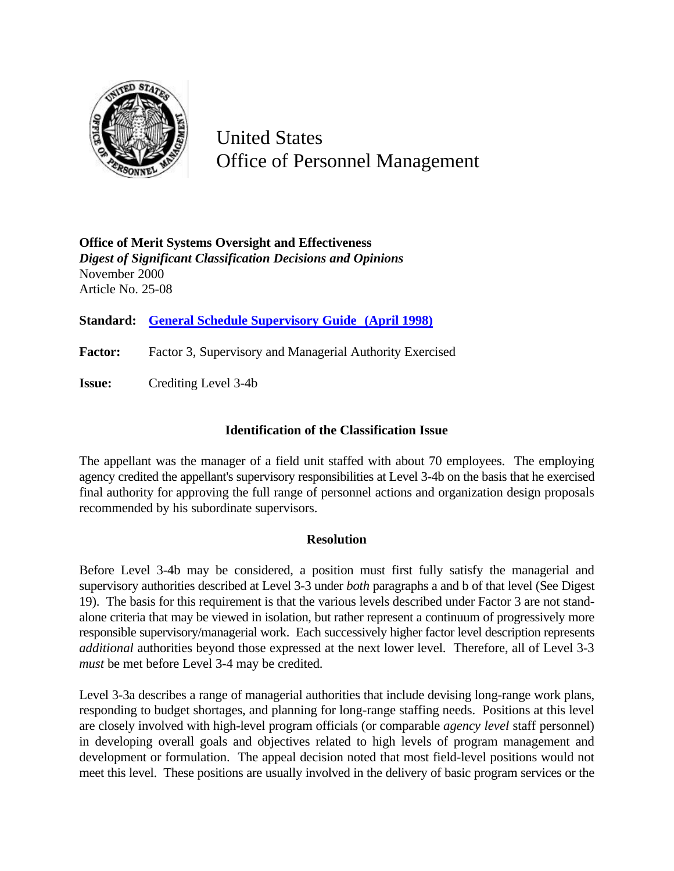

United States Office of Personnel Management

**Office of Merit Systems Oversight and Effectiveness** *Digest of Significant Classification Decisions and Opinions* November 2000 Article No. 25-08

**Standard: General Schedule Supervisory Guide (April 1998)**

Factor: Factor 3, Supervisory and Managerial Authority Exercised

**Issue:** Crediting Level 3-4b

## **Identification of the Classification Issue**

The appellant was the manager of a field unit staffed with about 70 employees. The employing agency credited the appellant's supervisory responsibilities at Level 3-4b on the basis that he exercised final authority for approving the full range of personnel actions and organization design proposals recommended by his subordinate supervisors.

## **Resolution**

Before Level 3-4b may be considered, a position must first fully satisfy the managerial and supervisory authorities described at Level 3-3 under *both* paragraphs a and b of that level (See Digest 19). The basis for this requirement is that the various levels described under Factor 3 are not standalone criteria that may be viewed in isolation, but rather represent a continuum of progressively more responsible supervisory/managerial work. Each successively higher factor level description represents *additional* authorities beyond those expressed at the next lower level. Therefore, all of Level 3-3 *must* be met before Level 3-4 may be credited.

Level 3-3a describes a range of managerial authorities that include devising long-range work plans, responding to budget shortages, and planning for long-range staffing needs. Positions at this level are closely involved with high-level program officials (or comparable *agency level* staff personnel) in developing overall goals and objectives related to high levels of program management and development or formulation. The appeal decision noted that most field-level positions would not meet this level. These positions are usually involved in the delivery of basic program services or the